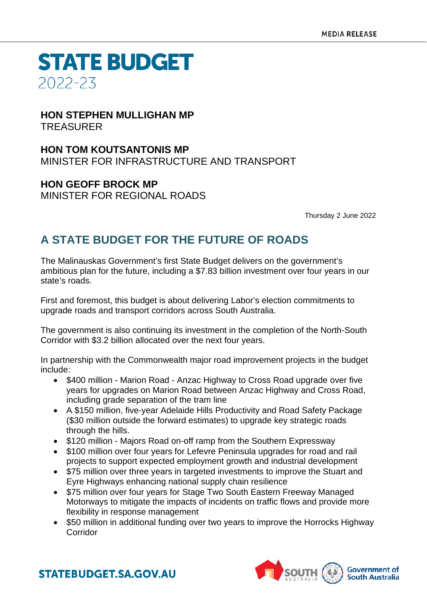### **STATE BUDGET** 2022-23

#### **HON STEPHEN MULLIGHAN MP** TREASURER

**HON TOM KOUTSANTONIS MP** MINISTER FOR INFRASTRUCTURE AND TRANSPORT

**HON GEOFF BROCK MP** MINISTER FOR REGIONAL ROADS

Thursday 2 June 2022

### **A STATE BUDGET FOR THE FUTURE OF ROADS**

The Malinauskas Government's first State Budget delivers on the government's ambitious plan for the future, including a \$7.83 billion investment over four years in our state's roads.

First and foremost, this budget is about delivering Labor's election commitments to upgrade roads and transport corridors across South Australia.

The government is also continuing its investment in the completion of the North-South Corridor with \$3.2 billion allocated over the next four years.

In partnership with the Commonwealth major road improvement projects in the budget include:

- \$400 million Marion Road Anzac Highway to Cross Road upgrade over five years for upgrades on Marion Road between Anzac Highway and Cross Road, including grade separation of the tram line
- A \$150 million, five-year Adelaide Hills Productivity and Road Safety Package (\$30 million outside the forward estimates) to upgrade key strategic roads through the hills.
- \$120 million Majors Road on-off ramp from the Southern Expressway
- \$100 million over four years for Lefevre Peninsula upgrades for road and rail projects to support expected employment growth and industrial development
- \$75 million over three years in targeted investments to improve the Stuart and Eyre Highways enhancing national supply chain resilience
- \$75 million over four years for Stage Two South Eastern Freeway Managed Motorways to mitigate the impacts of incidents on traffic flows and provide more flexibility in response management
- \$50 million in additional funding over two years to improve the Horrocks Highway Corridor



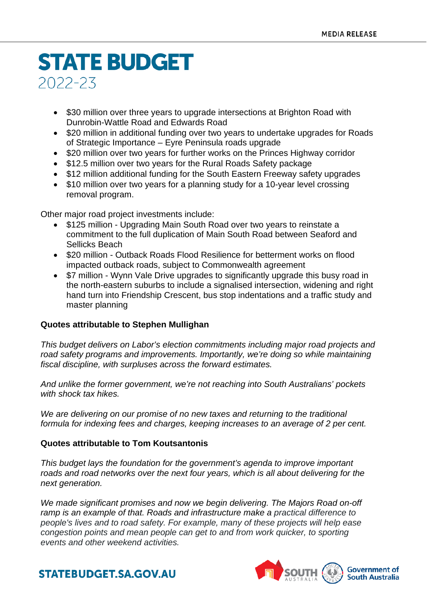# **STATE BUDGET** 2022-23

- \$30 million over three years to upgrade intersections at Brighton Road with Dunrobin-Wattle Road and Edwards Road
- \$20 million in additional funding over two years to undertake upgrades for Roads of Strategic Importance – Eyre Peninsula roads upgrade
- \$20 million over two years for further works on the Princes Highway corridor
- \$12.5 million over two years for the Rural Roads Safety package
- \$12 million additional funding for the South Eastern Freeway safety upgrades
- \$10 million over two years for a planning study for a 10-year level crossing removal program.

Other major road project investments include:

- \$125 million Upgrading Main South Road over two years to reinstate a commitment to the full duplication of Main South Road between Seaford and Sellicks Beach
- \$20 million Outback Roads Flood Resilience for betterment works on flood impacted outback roads, subject to Commonwealth agreement
- \$7 million Wynn Vale Drive upgrades to significantly upgrade this busy road in the north-eastern suburbs to include a signalised intersection, widening and right hand turn into Friendship Crescent, bus stop indentations and a traffic study and master planning

#### **Quotes attributable to Stephen Mullighan**

*This budget delivers on Labor's election commitments including major road projects and road safety programs and improvements. Importantly, we're doing so while maintaining fiscal discipline, with surpluses across the forward estimates.*

*And unlike the former government, we're not reaching into South Australians' pockets with shock tax hikes.*

*We are delivering on our promise of no new taxes and returning to the traditional formula for indexing fees and charges, keeping increases to an average of 2 per cent.*

#### **Quotes attributable to Tom Koutsantonis**

*This budget lays the foundation for the government's agenda to improve important roads and road networks over the next four years, which is all about delivering for the next generation.*

*We made significant promises and now we begin delivering. The Majors Road on-off ramp is an example of that. Roads and infrastructure make a practical difference to people's lives and to road safety. For example, many of these projects will help ease congestion points and mean people can get to and from work quicker, to sporting events and other weekend activities.*



### **STATEBUDGET.SA.GOV.AU**